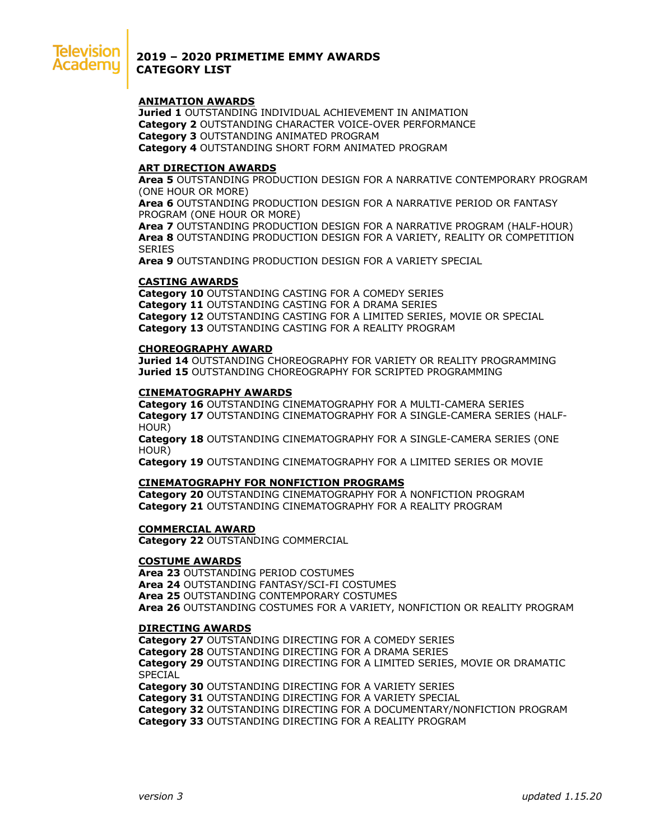

# **2019 – 2020 PRIMETIME EMMY AWARDS CATEGORY LIST**

## **ANIMATION AWARDS**

**Juried 1** OUTSTANDING INDIVIDUAL ACHIEVEMENT IN ANIMATION **Category 2** OUTSTANDING CHARACTER VOICE-OVER PERFORMANCE **Category 3** OUTSTANDING ANIMATED PROGRAM **Category 4** OUTSTANDING SHORT FORM ANIMATED PROGRAM

## **ART DIRECTION AWARDS**

**Area 5** OUTSTANDING PRODUCTION DESIGN FOR A NARRATIVE CONTEMPORARY PROGRAM (ONE HOUR OR MORE)

**Area 6** OUTSTANDING PRODUCTION DESIGN FOR A NARRATIVE PERIOD OR FANTASY PROGRAM (ONE HOUR OR MORE)

**Area 7** OUTSTANDING PRODUCTION DESIGN FOR A NARRATIVE PROGRAM (HALF-HOUR) **Area 8** OUTSTANDING PRODUCTION DESIGN FOR A VARIETY, REALITY OR COMPETITION **SERIES** 

**Area 9** OUTSTANDING PRODUCTION DESIGN FOR A VARIETY SPECIAL

### **CASTING AWARDS**

**Category 10** OUTSTANDING CASTING FOR A COMEDY SERIES **Category 11** OUTSTANDING CASTING FOR A DRAMA SERIES **Category 12** OUTSTANDING CASTING FOR A LIMITED SERIES, MOVIE OR SPECIAL **Category 13** OUTSTANDING CASTING FOR A REALITY PROGRAM

### **CHOREOGRAPHY AWARD**

**Juried 14** OUTSTANDING CHOREOGRAPHY FOR VARIETY OR REALITY PROGRAMMING **Juried 15** OUTSTANDING CHOREOGRAPHY FOR SCRIPTED PROGRAMMING

### **CINEMATOGRAPHY AWARDS**

**Category 16** OUTSTANDING CINEMATOGRAPHY FOR A MULTI-CAMERA SERIES **Category 17** OUTSTANDING CINEMATOGRAPHY FOR A SINGLE-CAMERA SERIES (HALF-HOUR)

**Category 18** OUTSTANDING CINEMATOGRAPHY FOR A SINGLE-CAMERA SERIES (ONE HOUR)

**Category 19** OUTSTANDING CINEMATOGRAPHY FOR A LIMITED SERIES OR MOVIE

#### **CINEMATOGRAPHY FOR NONFICTION PROGRAMS**

**Category 20** OUTSTANDING CINEMATOGRAPHY FOR A NONFICTION PROGRAM **Category 21** OUTSTANDING CINEMATOGRAPHY FOR A REALITY PROGRAM

### **COMMERCIAL AWARD**

**Category 22** OUTSTANDING COMMERCIAL

### **COSTUME AWARDS**

**Area 23** OUTSTANDING PERIOD COSTUMES **Area 24** OUTSTANDING FANTASY/SCI-FI COSTUMES **Area 25** OUTSTANDING CONTEMPORARY COSTUMES **Area 26** OUTSTANDING COSTUMES FOR A VARIETY, NONFICTION OR REALITY PROGRAM

#### **DIRECTING AWARDS**

**Category 27** OUTSTANDING DIRECTING FOR A COMEDY SERIES **Category 28** OUTSTANDING DIRECTING FOR A DRAMA SERIES **Category 29** OUTSTANDING DIRECTING FOR A LIMITED SERIES, MOVIE OR DRAMATIC SPECIAL

**Category 30** OUTSTANDING DIRECTING FOR A VARIETY SERIES **Category 31** OUTSTANDING DIRECTING FOR A VARIETY SPECIAL **Category 32** OUTSTANDING DIRECTING FOR A DOCUMENTARY/NONFICTION PROGRAM **Category 33** OUTSTANDING DIRECTING FOR A REALITY PROGRAM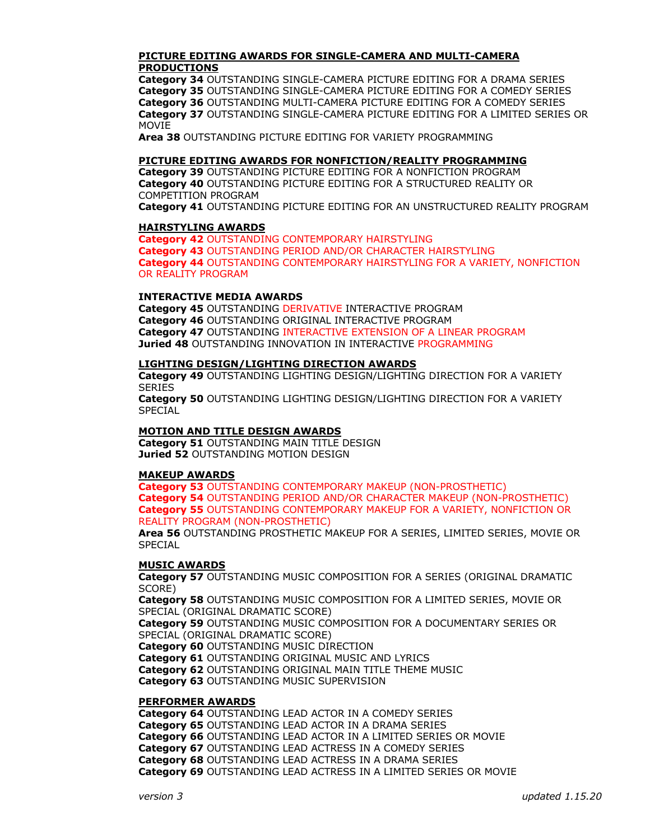# **PICTURE EDITING AWARDS FOR SINGLE-CAMERA AND MULTI-CAMERA PRODUCTIONS**

**Category 34** OUTSTANDING SINGLE-CAMERA PICTURE EDITING FOR A DRAMA SERIES **Category 35** OUTSTANDING SINGLE-CAMERA PICTURE EDITING FOR A COMEDY SERIES **Category 36** OUTSTANDING MULTI-CAMERA PICTURE EDITING FOR A COMEDY SERIES **Category 37** OUTSTANDING SINGLE-CAMERA PICTURE EDITING FOR A LIMITED SERIES OR MOVIE

**Area 38** OUTSTANDING PICTURE EDITING FOR VARIETY PROGRAMMING

## **PICTURE EDITING AWARDS FOR NONFICTION/REALITY PROGRAMMING**

**Category 39** OUTSTANDING PICTURE EDITING FOR A NONFICTION PROGRAM **Category 40** OUTSTANDING PICTURE EDITING FOR A STRUCTURED REALITY OR COMPETITION PROGRAM

**Category 41** OUTSTANDING PICTURE EDITING FOR AN UNSTRUCTURED REALITY PROGRAM

## **HAIRSTYLING AWARDS**

**Category 42** OUTSTANDING CONTEMPORARY HAIRSTYLING **Category 43** OUTSTANDING PERIOD AND/OR CHARACTER HAIRSTYLING **Category 44** OUTSTANDING CONTEMPORARY HAIRSTYLING FOR A VARIETY, NONFICTION OR REALITY PROGRAM

### **INTERACTIVE MEDIA AWARDS**

**Category 45** OUTSTANDING DERIVATIVE INTERACTIVE PROGRAM **Category 46** OUTSTANDING ORIGINAL INTERACTIVE PROGRAM **Category 47** OUTSTANDING INTERACTIVE EXTENSION OF A LINEAR PROGRAM **Juried 48** OUTSTANDING INNOVATION IN INTERACTIVE PROGRAMMING

### **LIGHTING DESIGN/LIGHTING DIRECTION AWARDS**

**Category 49** OUTSTANDING LIGHTING DESIGN/LIGHTING DIRECTION FOR A VARIETY **SERIES** 

**Category 50** OUTSTANDING LIGHTING DESIGN/LIGHTING DIRECTION FOR A VARIETY SPECIAL

# **MOTION AND TITLE DESIGN AWARDS**

**Category 51** OUTSTANDING MAIN TITLE DESIGN **Juried 52** OUTSTANDING MOTION DESIGN

#### **MAKEUP AWARDS**

**Category 53** OUTSTANDING CONTEMPORARY MAKEUP (NON-PROSTHETIC) **Category 54** OUTSTANDING PERIOD AND/OR CHARACTER MAKEUP (NON-PROSTHETIC) **Category 55** OUTSTANDING CONTEMPORARY MAKEUP FOR A VARIETY, NONFICTION OR REALITY PROGRAM (NON-PROSTHETIC)

**Area 56** OUTSTANDING PROSTHETIC MAKEUP FOR A SERIES, LIMITED SERIES, MOVIE OR **SPECIAL** 

## **MUSIC AWARDS**

**Category 57** OUTSTANDING MUSIC COMPOSITION FOR A SERIES (ORIGINAL DRAMATIC SCORE)

**Category 58** OUTSTANDING MUSIC COMPOSITION FOR A LIMITED SERIES, MOVIE OR SPECIAL (ORIGINAL DRAMATIC SCORE)

**Category 59** OUTSTANDING MUSIC COMPOSITION FOR A DOCUMENTARY SERIES OR SPECIAL (ORIGINAL DRAMATIC SCORE)

**Category 60** OUTSTANDING MUSIC DIRECTION

**Category 61** OUTSTANDING ORIGINAL MUSIC AND LYRICS

**Category 62** OUTSTANDING ORIGINAL MAIN TITLE THEME MUSIC

**Category 63** OUTSTANDING MUSIC SUPERVISION

#### **PERFORMER AWARDS**

**Category 64** OUTSTANDING LEAD ACTOR IN A COMEDY SERIES **Category 65** OUTSTANDING LEAD ACTOR IN A DRAMA SERIES **Category 66** OUTSTANDING LEAD ACTOR IN A LIMITED SERIES OR MOVIE **Category 67** OUTSTANDING LEAD ACTRESS IN A COMEDY SERIES **Category 68** OUTSTANDING LEAD ACTRESS IN A DRAMA SERIES **Category 69** OUTSTANDING LEAD ACTRESS IN A LIMITED SERIES OR MOVIE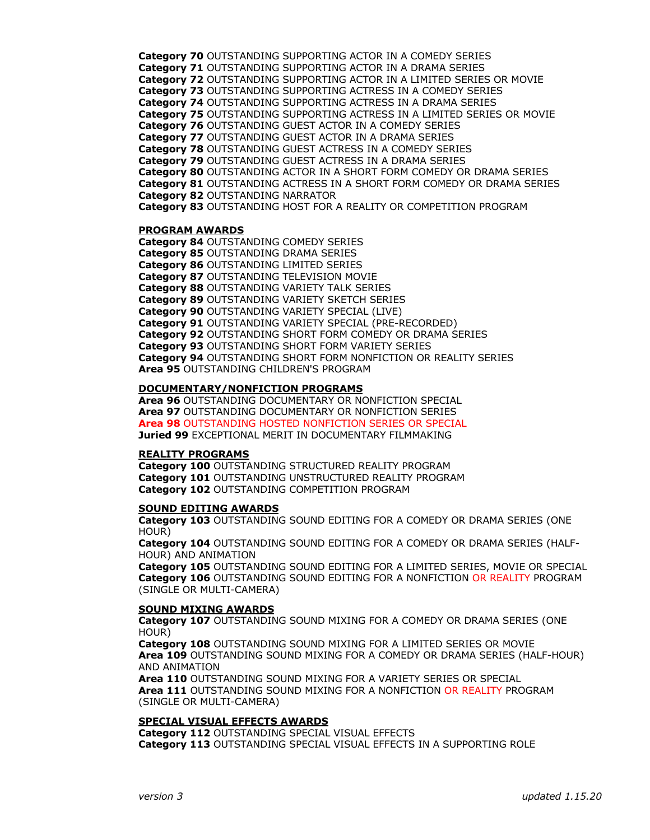**Category 70** OUTSTANDING SUPPORTING ACTOR IN A COMEDY SERIES **Category 71** OUTSTANDING SUPPORTING ACTOR IN A DRAMA SERIES **Category 72** OUTSTANDING SUPPORTING ACTOR IN A LIMITED SERIES OR MOVIE **Category 73** OUTSTANDING SUPPORTING ACTRESS IN A COMEDY SERIES **Category 74** OUTSTANDING SUPPORTING ACTRESS IN A DRAMA SERIES **Category 75** OUTSTANDING SUPPORTING ACTRESS IN A LIMITED SERIES OR MOVIE **Category 76** OUTSTANDING GUEST ACTOR IN A COMEDY SERIES **Category 77** OUTSTANDING GUEST ACTOR IN A DRAMA SERIES **Category 78** OUTSTANDING GUEST ACTRESS IN A COMEDY SERIES **Category 79** OUTSTANDING GUEST ACTRESS IN A DRAMA SERIES **Category 80** OUTSTANDING ACTOR IN A SHORT FORM COMEDY OR DRAMA SERIES **Category 81** OUTSTANDING ACTRESS IN A SHORT FORM COMEDY OR DRAMA SERIES **Category 82** OUTSTANDING NARRATOR **Category 83** OUTSTANDING HOST FOR A REALITY OR COMPETITION PROGRAM

## **PROGRAM AWARDS**

**Category 84** OUTSTANDING COMEDY SERIES **Category 85** OUTSTANDING DRAMA SERIES **Category 86** OUTSTANDING LIMITED SERIES **Category 87** OUTSTANDING TELEVISION MOVIE **Category 88** OUTSTANDING VARIETY TALK SERIES **Category 89** OUTSTANDING VARIETY SKETCH SERIES **Category 90** OUTSTANDING VARIETY SPECIAL (LIVE) **Category 91** OUTSTANDING VARIETY SPECIAL (PRE-RECORDED) **Category 92** OUTSTANDING SHORT FORM COMEDY OR DRAMA SERIES **Category 93** OUTSTANDING SHORT FORM VARIETY SERIES **Category 94** OUTSTANDING SHORT FORM NONFICTION OR REALITY SERIES **Area 95** OUTSTANDING CHILDREN'S PROGRAM

## **DOCUMENTARY/NONFICTION PROGRAMS**

**Area 96** OUTSTANDING DOCUMENTARY OR NONFICTION SPECIAL **Area 97** OUTSTANDING DOCUMENTARY OR NONFICTION SERIES **Area 98** OUTSTANDING HOSTED NONFICTION SERIES OR SPECIAL **Juried 99** EXCEPTIONAL MERIT IN DOCUMENTARY FILMMAKING

## **REALITY PROGRAMS**

**Category 100** OUTSTANDING STRUCTURED REALITY PROGRAM **Category 101** OUTSTANDING UNSTRUCTURED REALITY PROGRAM **Category 102** OUTSTANDING COMPETITION PROGRAM

## **SOUND EDITING AWARDS**

**Category 103** OUTSTANDING SOUND EDITING FOR A COMEDY OR DRAMA SERIES (ONE HOUR)

**Category 104** OUTSTANDING SOUND EDITING FOR A COMEDY OR DRAMA SERIES (HALF-HOUR) AND ANIMATION

**Category 105** OUTSTANDING SOUND EDITING FOR A LIMITED SERIES, MOVIE OR SPECIAL **Category 106** OUTSTANDING SOUND EDITING FOR A NONFICTION OR REALITY PROGRAM (SINGLE OR MULTI-CAMERA)

## **SOUND MIXING AWARDS**

**Category 107** OUTSTANDING SOUND MIXING FOR A COMEDY OR DRAMA SERIES (ONE HOUR)

**Category 108** OUTSTANDING SOUND MIXING FOR A LIMITED SERIES OR MOVIE **Area 109** OUTSTANDING SOUND MIXING FOR A COMEDY OR DRAMA SERIES (HALF-HOUR) AND ANIMATION

**Area 110** OUTSTANDING SOUND MIXING FOR A VARIETY SERIES OR SPECIAL **Area 111** OUTSTANDING SOUND MIXING FOR A NONFICTION OR REALITY PROGRAM (SINGLE OR MULTI-CAMERA)

# **SPECIAL VISUAL EFFECTS AWARDS**

**Category 112** OUTSTANDING SPECIAL VISUAL EFFECTS **Category 113** OUTSTANDING SPECIAL VISUAL EFFECTS IN A SUPPORTING ROLE